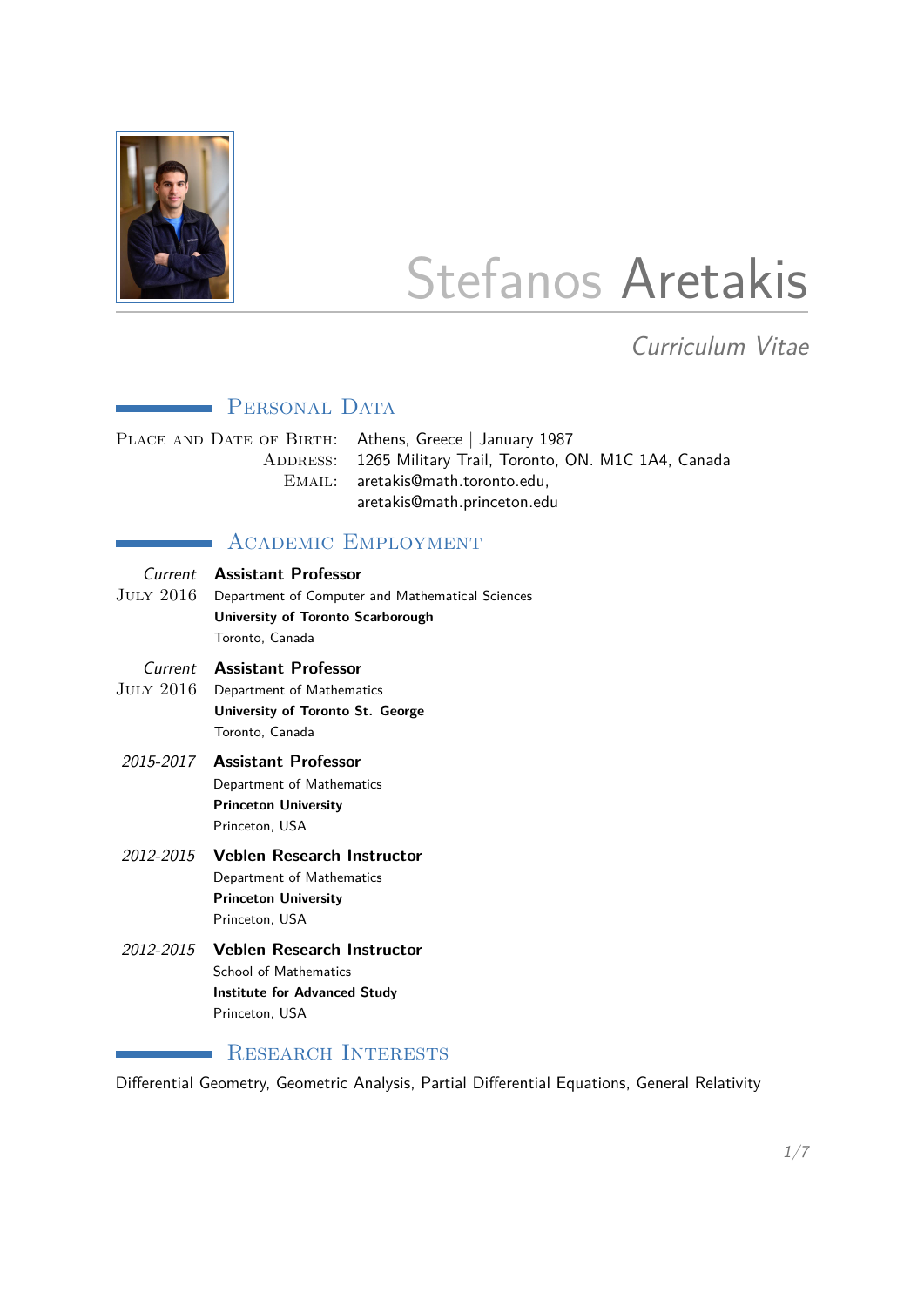

# Stefanos Aretakis

Curriculum Vitae

# **PERSONAL DATA**

PLACE AND DATE OF BIRTH: Athens, Greece | January 1987 ADDRESS: 1265 Military Trail, Toronto, ON. M1C 1A4, Canada EMAIL: aretakis@math.toronto.edu, aretakis@math.princeton.edu

# **ACADEMIC EMPLOYMENT**

| JULY 2016 . | Current Assistant Professor<br>Department of Computer and Mathematical Sciences<br>University of Toronto Scarborough<br>Toronto, Canada |
|-------------|-----------------------------------------------------------------------------------------------------------------------------------------|
| JULY 2016.  | <b>Current Assistant Professor</b><br>Department of Mathematics<br>University of Toronto St. George<br>Toronto. Canada                  |
|             | 2015-2017 Assistant Professor<br>Department of Mathematics<br><b>Princeton University</b><br>Princeton. USA                             |
| 2012-2015   | <b>Veblen Research Instructor</b><br>Department of Mathematics<br><b>Princeton University</b><br>Princeton. USA                         |
|             | 2012-2015 Veblen Research Instructor<br><b>School of Mathematics</b><br><b>Institute for Advanced Study</b><br>Princeton. USA           |

# **RESEARCH INTERESTS**

Differential Geometry, Geometric Analysis, Partial Differential Equations, General Relativity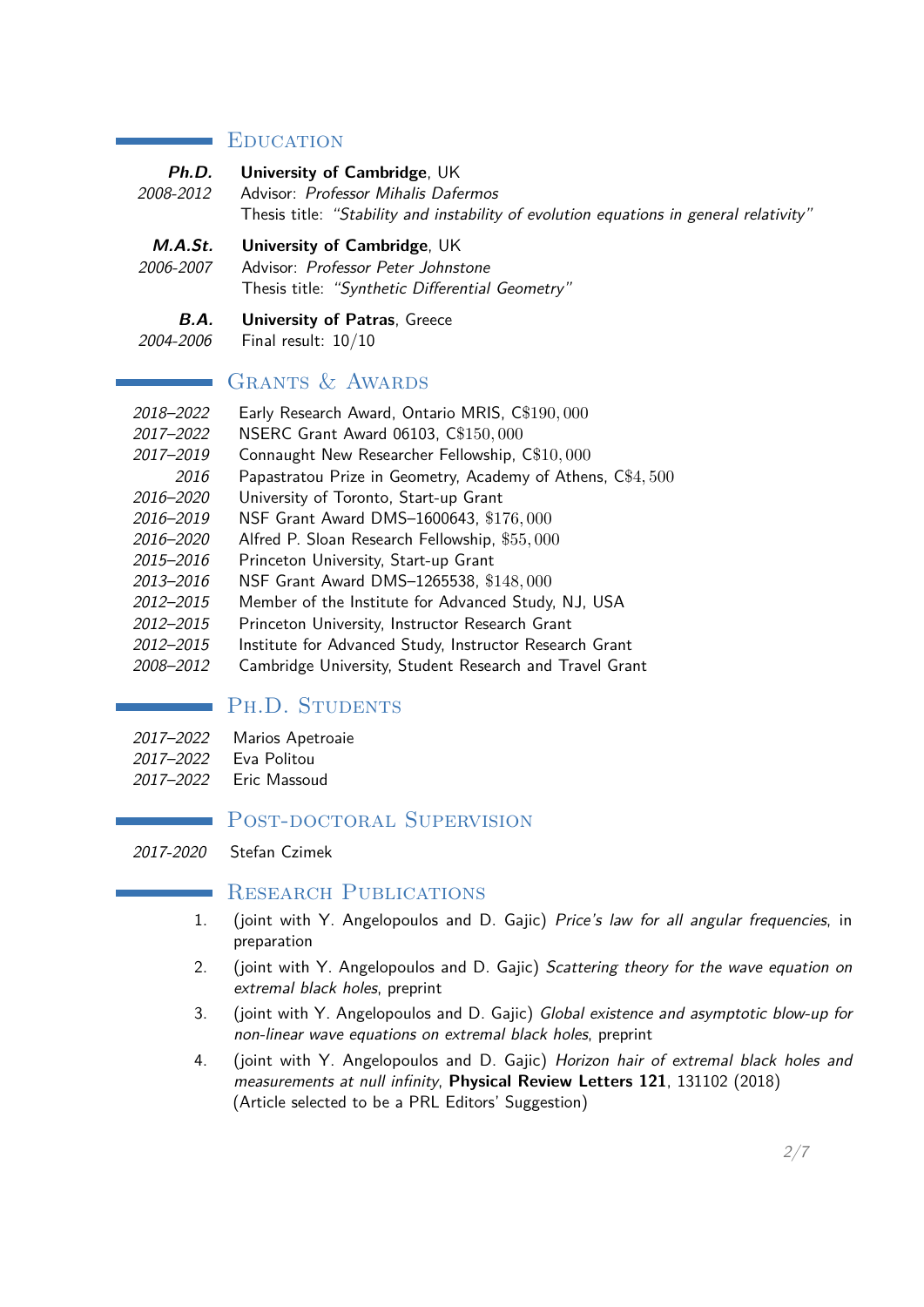#### **EDUCATION**

|           | <b>Ph.D.</b> University of Cambridge, UK                                               |
|-----------|----------------------------------------------------------------------------------------|
| 2008-2012 | Advisor: Professor Mihalis Dafermos                                                    |
|           | Thesis title: "Stability and instability of evolution equations in general relativity" |

- **M.A.St. University of Cambridge**, UK
- 2006-2007 Advisor: Professor Peter Johnstone Thesis title: "Synthetic Differential Geometry"
	- **B.A. University of Patras**, Greece
- 2004-2006 Final result: 10/10

#### GRANTS & AWARDS

- 2018–2022 Early Research Award, Ontario MRIS, C\$190*,* 000
- 2017–2022 NSERC Grant Award 06103, C\$150*,* 000
- 2017–2019 Connaught New Researcher Fellowship, C\$10*,* 000
- 2016 Papastratou Prize in Geometry, Academy of Athens, C\$4*,* 500
- 2016–2020 University of Toronto, Start-up Grant
- 2016–2019 NSF Grant Award DMS–1600643, \$176*,* 000
- 2016–2020 Alfred P. Sloan Research Fellowship, \$55*,* 000
- 2015–2016 Princeton University, Start-up Grant
- 2013–2016 NSF Grant Award DMS–1265538, \$148*,* 000
- 2012–2015 Member of the Institute for Advanced Study, NJ, USA
- 2012–2015 Princeton University, Instructor Research Grant
- 2012–2015 Institute for Advanced Study, Instructor Research Grant
- 2008–2012 Cambridge University, Student Research and Travel Grant

# PH.D. STUDENTS

- 2017–2022 Marios Apetroaie
- 2017–2022 Eva Politou

 $\sim 10^{11}$ 

2017–2022 Eric Massoud

# POST-DOCTORAL SUPERVISION

2017-2020 Stefan Czimek

# RESEARCH PUBLICATIONS

- 1. (joint with Y. Angelopoulos and D. Gajic) Price's law for all angular frequencies, in preparation
- 2. (joint with Y. Angelopoulos and D. Gajic) Scattering theory for the wave equation on extremal black holes, preprint
- 3. (joint with Y. Angelopoulos and D. Gajic) Global existence and asymptotic blow-up for non-linear wave equations on extremal black holes, preprint
- 4. (joint with Y. Angelopoulos and D. Gajic) Horizon hair of extremal black holes and measurements at null infinity, **Physical Review Letters 121**, 131102 (2018) (Article selected to be a PRL Editors' Suggestion)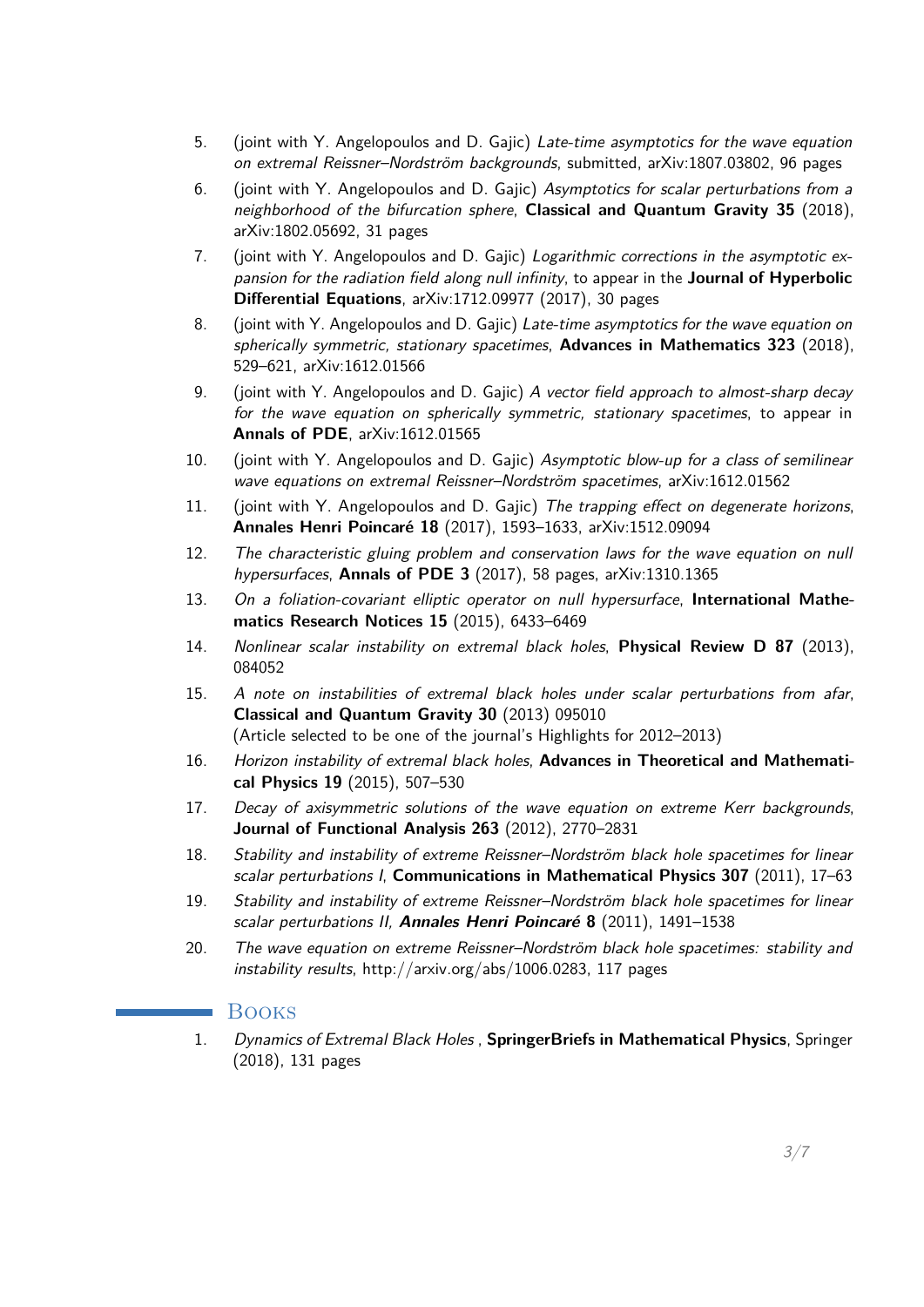- 5. (joint with Y. Angelopoulos and D. Gajic) Late-time asymptotics for the wave equation on extremal Reissner–Nordström backgrounds, submitted, arXiv:1807.03802, 96 pages
- 6. (joint with Y. Angelopoulos and D. Gajic) Asymptotics for scalar perturbations from a neighborhood of the bifurcation sphere, **Classical and Quantum Gravity 35** (2018), arXiv:1802.05692, 31 pages
- 7. (joint with Y. Angelopoulos and D. Gajic) Logarithmic corrections in the asymptotic expansion for the radiation field along null infinity, to appear in the **Journal of Hyperbolic Differential Equations**, arXiv:1712.09977 (2017), 30 pages
- 8. (joint with Y. Angelopoulos and D. Gajic) Late-time asymptotics for the wave equation on spherically symmetric, stationary spacetimes, **Advances in Mathematics 323** (2018), 529–621, arXiv:1612.01566
- 9. (joint with Y. Angelopoulos and D. Gajic) A vector field approach to almost-sharp decay for the wave equation on spherically symmetric, stationary spacetimes, to appear in **Annals of PDE**, arXiv:1612.01565
- 10. (joint with Y. Angelopoulos and D. Gajic) Asymptotic blow-up for a class of semilinear wave equations on extremal Reissner–Nordström spacetimes, arXiv:1612.01562
- 11. (joint with Y. Angelopoulos and D. Gajic) The trapping effect on degenerate horizons, **Annales Henri Poincaré 18** (2017), 1593–1633, arXiv:1512.09094
- 12. The characteristic gluing problem and conservation laws for the wave equation on null hypersurfaces, **Annals of PDE 3** (2017), 58 pages, arXiv:1310.1365
- 13. On a foliation-covariant elliptic operator on null hypersurface, **International Mathematics Research Notices 15** (2015), 6433–6469
- 14. Nonlinear scalar instability on extremal black holes, **Physical Review D 87** (2013), 084052
- 15. A note on instabilities of extremal black holes under scalar perturbations from afar, **Classical and Quantum Gravity 30** (2013) 095010 (Article selected to be one of the journal's Highlights for 2012–2013)
- 16. Horizon instability of extremal black holes, **Advances in Theoretical and Mathematical Physics 19** (2015), 507–530
- 17. Decay of axisymmetric solutions of the wave equation on extreme Kerr backgrounds, **Journal of Functional Analysis 263** (2012), 2770–2831
- 18. Stability and instability of extreme Reissner–Nordström black hole spacetimes for linear scalar perturbations I, **Communications in Mathematical Physics 307** (2011), 17–63
- 19. Stability and instability of extreme Reissner–Nordström black hole spacetimes for linear scalar perturbations II, **Annales Henri Poincaré 8** (2011), 1491–1538
- 20. The wave equation on extreme Reissner–Nordström black hole spacetimes: stability and instability results, http://arxiv.org/abs/1006.0283, 117 pages

#### **B**ooks

1. Dynamics of Extremal Black Holes , **SpringerBriefs in Mathematical Physics**, Springer (2018), 131 pages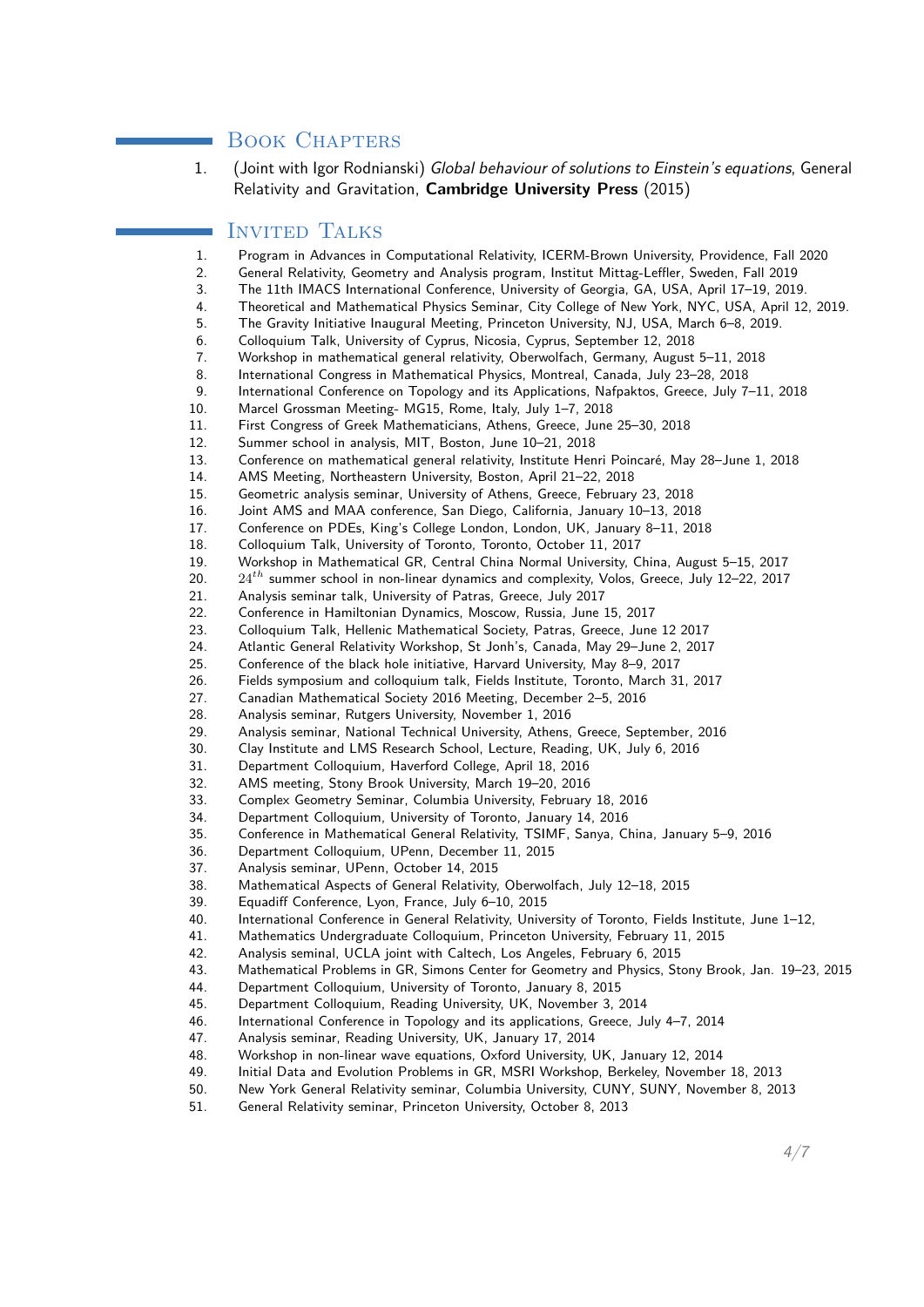# BOOK CHAPTERS

1. (Joint with Igor Rodnianski) Global behaviour of solutions to Einstein's equations, General Relativity and Gravitation, **Cambridge University Press** (2015)

# Invited Talks

- 1. Program in Advances in Computational Relativity, ICERM-Brown University, Providence, Fall 2020
- 2. General Relativity, Geometry and Analysis program, Institut Mittag-Leffler, Sweden, Fall 2019
- 3. The 11th IMACS International Conference, University of Georgia, GA, USA, April 17–19, 2019.
- 4. Theoretical and Mathematical Physics Seminar, City College of New York, NYC, USA, April 12, 2019.
- 5. The Gravity Initiative Inaugural Meeting, Princeton University, NJ, USA, March 6–8, 2019.
- 6. Colloquium Talk, University of Cyprus, Nicosia, Cyprus, September 12, 2018
- 7. Workshop in mathematical general relativity, Oberwolfach, Germany, August 5–11, 2018
- 8. International Congress in Mathematical Physics, Montreal, Canada, July 23–28, 2018
- 9. International Conference on Topology and its Applications, Nafpaktos, Greece, July 7–11, 2018
- 10. Marcel Grossman Meeting- MG15, Rome, Italy, July 1–7, 2018
- 11. First Congress of Greek Mathematicians, Athens, Greece, June 25–30, 2018
- 12. Summer school in analysis, MIT, Boston, June 10–21, 2018
- 13. Conference on mathematical general relativity, Institute Henri Poincaré, May 28–June 1, 2018
- 14. AMS Meeting, Northeastern University, Boston, April 21–22, 2018
- 15. Geometric analysis seminar, University of Athens, Greece, February 23, 2018
- 16. Joint AMS and MAA conference, San Diego, California, January 10–13, 2018
- 17. Conference on PDEs, King's College London, London, UK, January 8–11, 2018
- 18. Colloquium Talk, University of Toronto, Toronto, October 11, 2017
- 19. Workshop in Mathematical GR, Central China Normal University, China, August 5–15, 2017
- 20. 24*th* summer school in non-linear dynamics and complexity, Volos, Greece, July 12–22, 2017
- 21. Analysis seminar talk, University of Patras, Greece, July 2017
- 22. Conference in Hamiltonian Dynamics, Moscow, Russia, June 15, 2017
- 23. Colloquium Talk, Hellenic Mathematical Society, Patras, Greece, June 12 2017
- 24. Atlantic General Relativity Workshop, St Jonh's, Canada, May 29–June 2, 2017
- 25. Conference of the black hole initiative, Harvard University, May 8–9, 2017
- 26. Fields symposium and colloquium talk, Fields Institute, Toronto, March 31, 2017
- 27. Canadian Mathematical Society 2016 Meeting, December 2–5, 2016
- 28. Analysis seminar, Rutgers University, November 1, 2016
- 29. Analysis seminar, National Technical University, Athens, Greece, September, 2016
- 30. Clay Institute and LMS Research School, Lecture, Reading, UK, July 6, 2016
- 31. Department Colloquium, Haverford College, April 18, 2016
- 32. AMS meeting, Stony Brook University, March 19–20, 2016
- 33. Complex Geometry Seminar, Columbia University, February 18, 2016
- 34. Department Colloquium, University of Toronto, January 14, 2016
- 35. Conference in Mathematical General Relativity, TSIMF, Sanya, China, January 5–9, 2016
- 36. Department Colloquium, UPenn, December 11, 2015
- 37. Analysis seminar, UPenn, October 14, 2015
- 38. Mathematical Aspects of General Relativity, Oberwolfach, July 12–18, 2015
- 39. Equadiff Conference, Lyon, France, July 6–10, 2015
- 40. International Conference in General Relativity, University of Toronto, Fields Institute, June 1–12,
- 41. Mathematics Undergraduate Colloquium, Princeton University, February 11, 2015
- 42. Analysis seminal, UCLA joint with Caltech, Los Angeles, February 6, 2015
- 43. Mathematical Problems in GR, Simons Center for Geometry and Physics, Stony Brook, Jan. 19–23, 2015
- 44. Department Colloquium, University of Toronto, January 8, 2015
- 45. Department Colloquium, Reading University, UK, November 3, 2014
- 46. International Conference in Topology and its applications, Greece, July 4–7, 2014
- 47. Analysis seminar, Reading University, UK, January 17, 2014
- 48. Workshop in non-linear wave equations, Oxford University, UK, January 12, 2014
- 49. Initial Data and Evolution Problems in GR, MSRI Workshop, Berkeley, November 18, 2013
- 50. New York General Relativity seminar, Columbia University, CUNY, SUNY, November 8, 2013
- 51. General Relativity seminar, Princeton University, October 8, 2013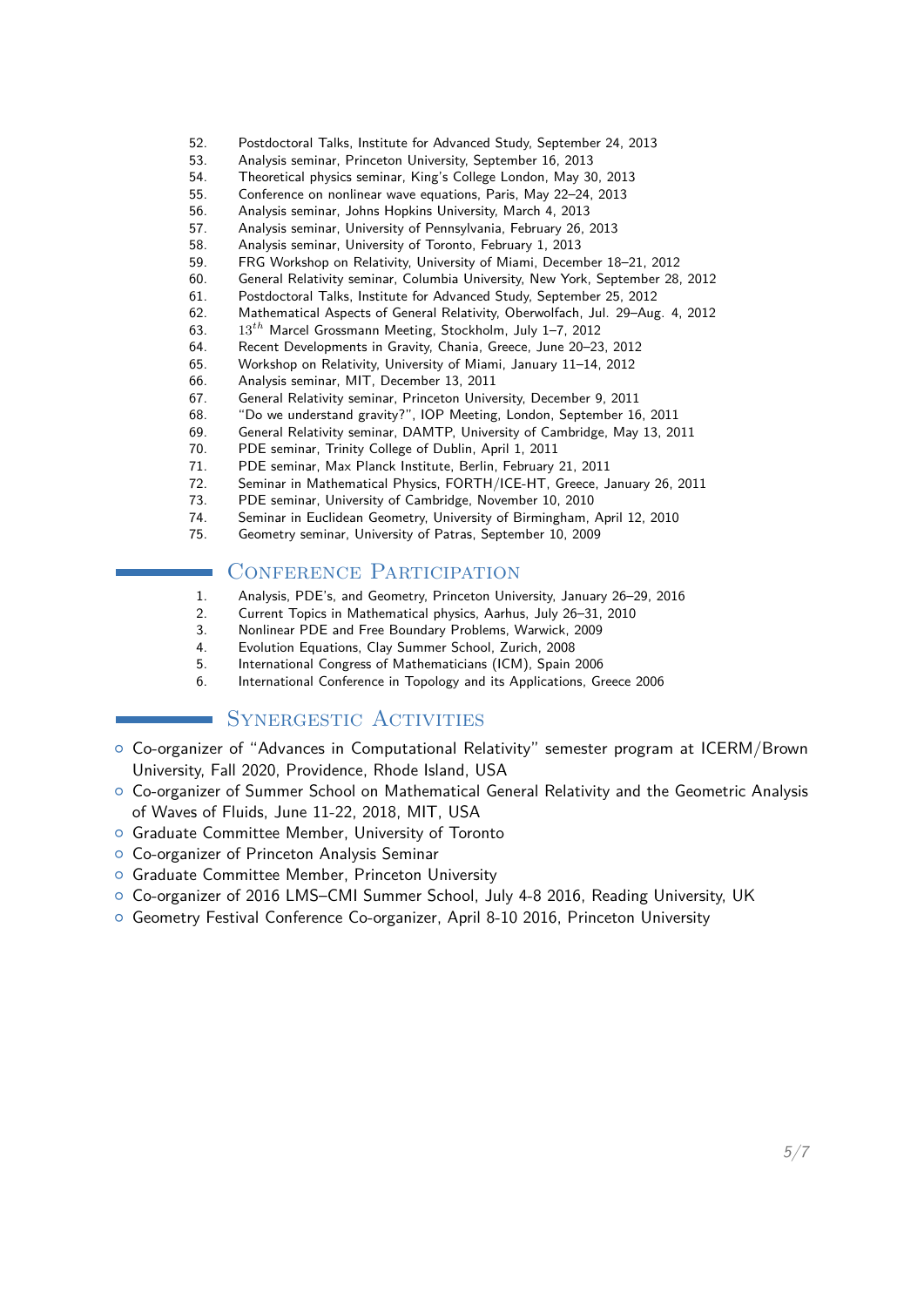- 52. Postdoctoral Talks, Institute for Advanced Study, September 24, 2013
- 53. Analysis seminar, Princeton University, September 16, 2013
- 54. Theoretical physics seminar, King's College London, May 30, 2013
- 55. Conference on nonlinear wave equations, Paris, May 22–24, 2013
- 56. Analysis seminar, Johns Hopkins University, March 4, 2013
- 57. Analysis seminar, University of Pennsylvania, February 26, 2013
- 58. Analysis seminar, University of Toronto, February 1, 2013
- 59. FRG Workshop on Relativity, University of Miami, December 18–21, 2012
- 60. General Relativity seminar, Columbia University, New York, September 28, 2012
- 61. Postdoctoral Talks, Institute for Advanced Study, September 25, 2012
- 62. Mathematical Aspects of General Relativity, Oberwolfach, Jul. 29–Aug. 4, 2012
- 63. 13*th* Marcel Grossmann Meeting, Stockholm, July 1–7, 2012
- 64. Recent Developments in Gravity, Chania, Greece, June 20–23, 2012
- 65. Workshop on Relativity, University of Miami, January 11–14, 2012
- 66. Analysis seminar, MIT, December 13, 2011
- 67. General Relativity seminar, Princeton University, December 9, 2011
- 68. "Do we understand gravity?", IOP Meeting, London, September 16, 2011
- 69. General Relativity seminar, DAMTP, University of Cambridge, May 13, 2011
- 70. PDE seminar, Trinity College of Dublin, April 1, 2011
- 71. PDE seminar, Max Planck Institute, Berlin, February 21, 2011
- 72. Seminar in Mathematical Physics, FORTH/ICE-HT, Greece, January 26, 2011
- 73. PDE seminar, University of Cambridge, November 10, 2010
- 74. Seminar in Euclidean Geometry, University of Birmingham, April 12, 2010
- 75. Geometry seminar, University of Patras, September 10, 2009

#### CONFERENCE PARTICIPATION

- 1. Analysis, PDE's, and Geometry, Princeton University, January 26–29, 2016
- 2. Current Topics in Mathematical physics, Aarhus, July 26–31, 2010
- 3. Nonlinear PDE and Free Boundary Problems, Warwick, 2009
- 4. Evolution Equations, Clay Summer School, Zurich, 2008
- 5. International Congress of Mathematicians (ICM), Spain 2006
- 6. International Conference in Topology and its Applications, Greece 2006

#### SYNERGESTIC ACTIVITIES

- { Co-organizer of "Advances in Computational Relativity" semester program at ICERM/Brown University, Fall 2020, Providence, Rhode Island, USA
- { Co-organizer of Summer School on Mathematical General Relativity and the Geometric Analysis of Waves of Fluids, June 11-22, 2018, MIT, USA
- o Graduate Committee Member, University of Toronto
- { Co-organizer of Princeton Analysis Seminar
- **o** Graduate Committee Member, Princeton University
- { Co-organizer of 2016 LMS–CMI Summer School, July 4-8 2016, Reading University, UK
- { Geometry Festival Conference Co-organizer, April 8-10 2016, Princeton University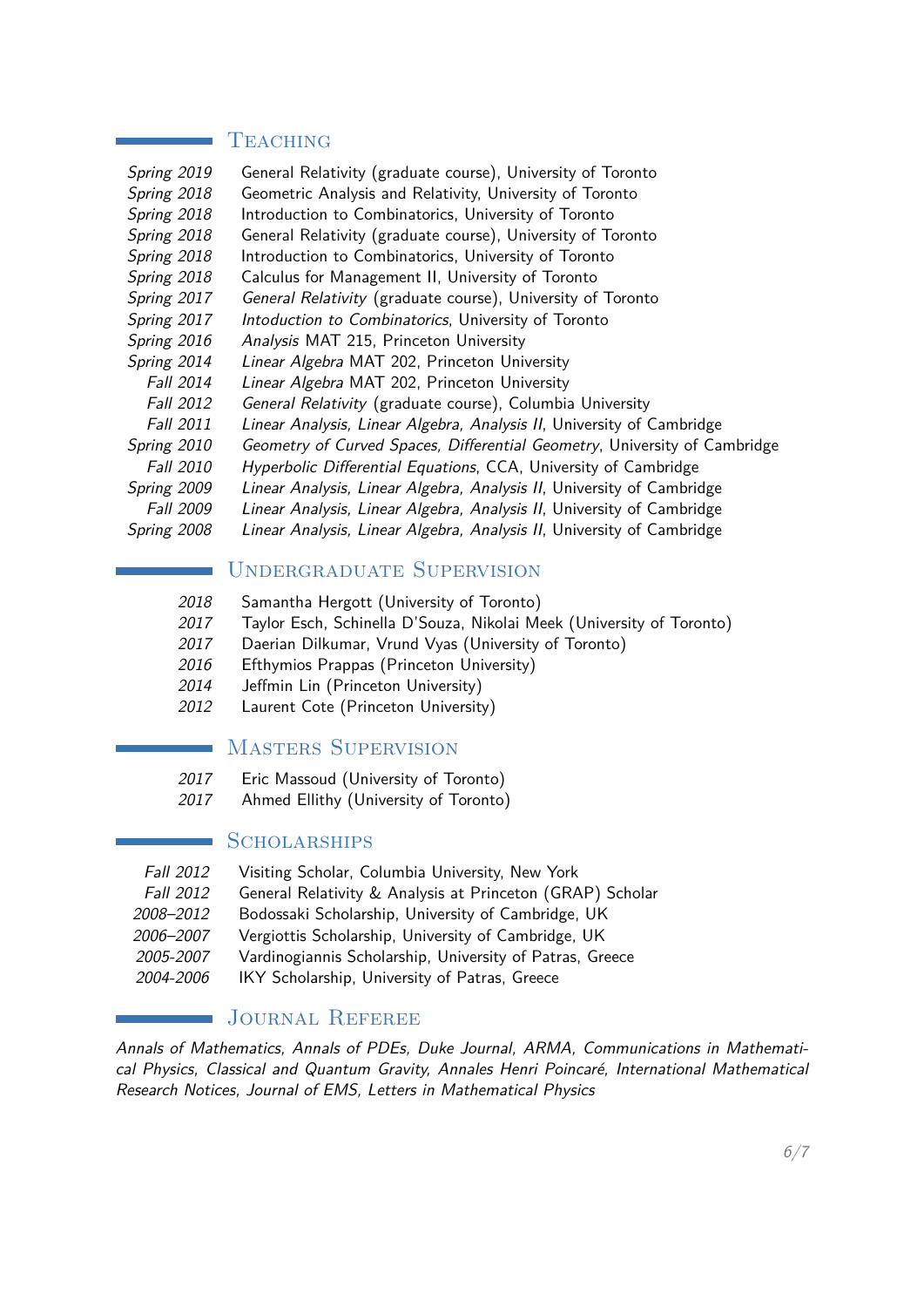#### **TEACHING**

| General Relativity (graduate course), University of Toronto               |
|---------------------------------------------------------------------------|
| Geometric Analysis and Relativity, University of Toronto                  |
| Introduction to Combinatorics, University of Toronto                      |
| General Relativity (graduate course), University of Toronto               |
| Introduction to Combinatorics, University of Toronto                      |
| Calculus for Management II, University of Toronto                         |
| General Relativity (graduate course), University of Toronto               |
| Intoduction to Combinatorics, University of Toronto                       |
| Analysis MAT 215, Princeton University                                    |
| Linear Algebra MAT 202, Princeton University                              |
| Linear Algebra MAT 202, Princeton University                              |
| General Relativity (graduate course), Columbia University                 |
| Linear Analysis, Linear Algebra, Analysis II, University of Cambridge     |
| Geometry of Curved Spaces, Differential Geometry, University of Cambridge |
| Hyperbolic Differential Equations, CCA, University of Cambridge           |
| Linear Analysis, Linear Algebra, Analysis II, University of Cambridge     |
| Linear Analysis, Linear Algebra, Analysis II, University of Cambridge     |
| Linear Analysis, Linear Algebra, Analysis II, University of Cambridge     |
|                                                                           |

# Undergraduate Supervision

- 2018 Samantha Hergott (University of Toronto)
- 2017 Taylor Esch, Schinella D'Souza, Nikolai Meek (University of Toronto)
- 2017 Daerian Dilkumar, Vrund Vyas (University of Toronto)
- 2016 Efthymios Prappas (Princeton University)
- 2014 Jeffmin Lin (Princeton University)
- 2012 Laurent Cote (Princeton University)

#### Masters Supervision

- 2017 Eric Massoud (University of Toronto)
- 2017 Ahmed Ellithy (University of Toronto)

#### **SCHOLARSHIPS**

- Fall 2012 Visiting Scholar, Columbia University, New York
- Fall 2012 General Relativity & Analysis at Princeton (GRAP) Scholar
- 2008–2012 Bodossaki Scholarship, University of Cambridge, UK
- 2006–2007 Vergiottis Scholarship, University of Cambridge, UK
- 2005-2007 Vardinogiannis Scholarship, University of Patras, Greece
- 2004-2006 IKY Scholarship, University of Patras, Greece

# JOURNAL REFEREE

Annals of Mathematics, Annals of PDEs, Duke Journal, ARMA, Communications in Mathematical Physics, Classical and Quantum Gravity, Annales Henri Poincaré, International Mathematical Research Notices, Journal of EMS, Letters in Mathematical Physics